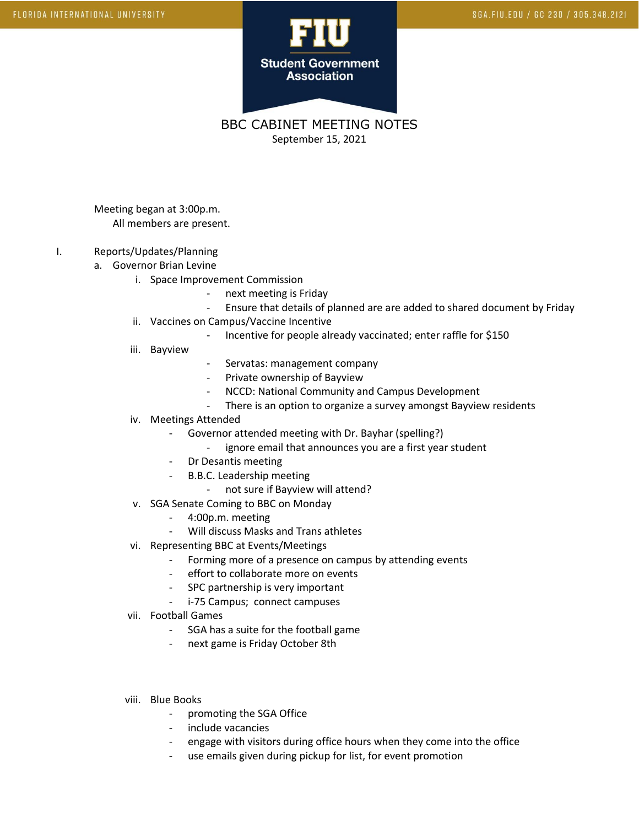

BBC CABINET MEETING NOTES September 15, 2021

Meeting began at 3:00p.m. All members are present.

## I. Reports/Updates/Planning

- a. Governor Brian Levine
	- i. Space Improvement Commission
		- next meeting is Friday
		- Ensure that details of planned are are added to shared document by Friday
	- ii. Vaccines on Campus/Vaccine Incentive
		- Incentive for people already vaccinated; enter raffle for \$150
	- iii. Bayview
- Servatas: management company
- Private ownership of Bayview
- NCCD: National Community and Campus Development
- There is an option to organize a survey amongst Bayview residents
- iv. Meetings Attended
	- Governor attended meeting with Dr. Bayhar (spelling?)
		- ignore email that announces you are a first year student
	- Dr Desantis meeting
	- B.B.C. Leadership meeting
		- not sure if Bayview will attend?
- v. SGA Senate Coming to BBC on Monday
	- 4:00p.m. meeting
	- Will discuss Masks and Trans athletes
- vi. Representing BBC at Events/Meetings
	- Forming more of a presence on campus by attending events
	- effort to collaborate more on events
	- SPC partnership is very important
	- i-75 Campus; connect campuses
- vii. Football Games
	- SGA has a suite for the football game
	- next game is Friday October 8th
- viii. Blue Books
	- promoting the SGA Office
	- include vacancies
	- engage with visitors during office hours when they come into the office
	- use emails given during pickup for list, for event promotion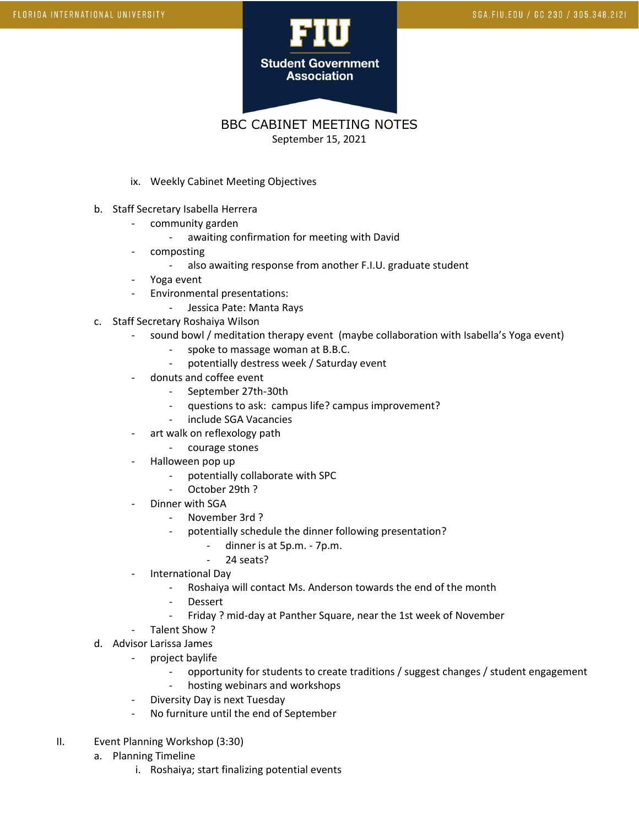

BBC CABINET MEETING NOTES September 15, 2021

- ix. Weekly Cabinet Meeting Objectives
- b. Staff Secretary Isabella Herrera
	- community garden
		- awaiting confirmation for meeting with David
	- composting
		- also awaiting response from another F.I.U. graduate student
	- Yoga event
	- Environmental presentations:
		- Jessica Pate: Manta Rays
- c. Staff Secretary Roshaiya Wilson
	- sound bowl / meditation therapy event (maybe collaboration with Isabella's Yoga event)
		- spoke to massage woman at B.B.C.
		- potentially destress week / Saturday event
	- donuts and coffee event
		- September 27th-30th
		- questions to ask: campus life? campus improvement?
		- include SGA Vacancies
	- art walk on reflexology path
		- courage stones
	- Halloween pop up
		- potentially collaborate with SPC
		- October 29th ?
	- Dinner with SGA
		- November 3rd ?
			- potentially schedule the dinner following presentation?
				- dinner is at 5p.m. 7p.m.
				- 24 seats?
	- International Day
		- Roshaiya will contact Ms. Anderson towards the end of the month
		- **Dessert**
		- Friday ? mid-day at Panther Square, near the 1st week of November
	- Talent Show ?
- d. Advisor Larissa James
	- project baylife
		- opportunity for students to create traditions / suggest changes / student engagement
		- hosting webinars and workshops
		- Diversity Day is next Tuesday
	- No furniture until the end of September
- II. Event Planning Workshop (3:30)
	- a. Planning Timeline
		- i. Roshaiya; start finalizing potential events